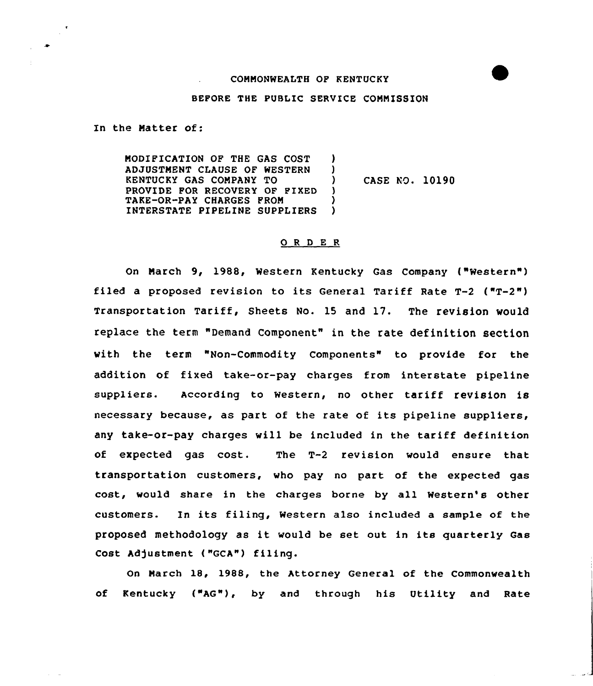## CONNONWEALTH OF KENTUCKY

## BEFORE THE PUBLIC SERVICE CONNISSION

In the Natter of:

 $\frac{1}{\sqrt{2}}$ 

NODIFICATION OF THE GAS COST ADJUSTNENT CLAUSE OF WESTERN KENTUCKY GAS CONPANY TO PROVIDE FOR RECOVERY OF FIXED TAKE-OR-PAY CHARGES PRON INTERSTATE PIPELINE SUPPLIERS ) ) ) CASE NO. 10190 )  $\lambda$ 

## 0 <sup>R</sup> <sup>D</sup> E <sup>R</sup>

On March 9, 1988, Western Kentucky Gas Company ("Western") filed a proposed revision to its General Tariff Rate  $T-2$  ( $T-2$ ") Transportation Tariff, Sheets No. 15 and 17. The revision would replace the term "Demand Component" in the rate definition section with the term "Non-Commodity Components" to provide for the addition of fixed take-or-pay charges from interstate pipeline suppliers. According to western, no other tariff revision is necessary because, as part of the rate of its pipeline suppliers, any take-or-pay charges will be included in the tariff definition of expected gas cost. The T-2 revision would ensure that transportation customers, who pay no part of the expected gas cost, would share in the charges borne by all Western's other customers. In its filing, Western also included a sample of the proposed methodology as it would be set out in its quarterly Gas Cost Adjustment ("GCA") filing.

On Narch 1S, 1988, the Attorney General of the Commonwealth of Kentucky ("AG"), by and through his Utility and Rate

**Contract**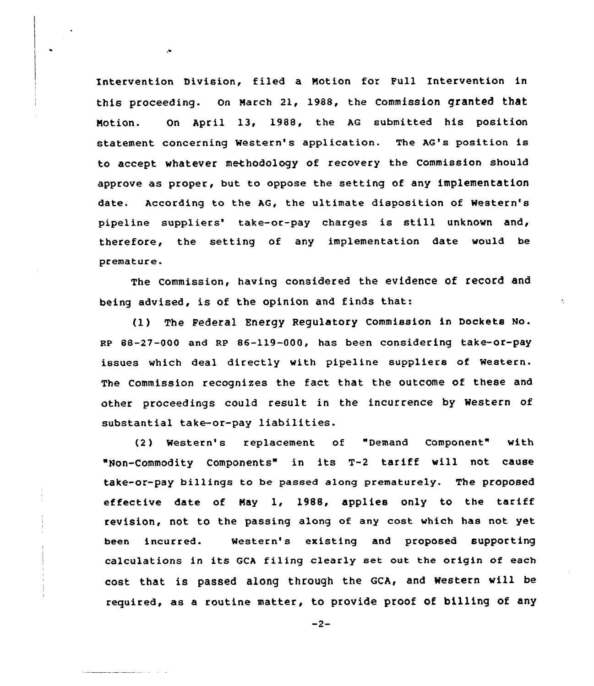Intervention Division, filed a Notion for Full Intervention in this proceeding. on Narch 21, 1988, the commission granted that Notion. On April 13, 1988, the AG submitted his position statement concerning Western's application. The AG's position is to accept whatever methodology of recovery the Commission should approve as proper, but to oppose the setting of any implementation date. According to the AG, the ultimate disposition of Western's pipeline suppliers' take-or-pay charges is still unknown and, therefore, the setting of any implementation date would be premature.

The commission, having considered the evidence of record and being advised, is of the opinion and finds that:

 $\overline{\phantom{a}}$ 

(1) The Federal Energy Regulatory Commission in Dockets No. RP 88-27-000 and RP 86-119-000, has been considering take-or-pay issues which deal directly with pipeline suppliers of Western. The Commission recognizes the fact that the outcome of these and other proceedings could result in the incurrence by Western of substantial take-or-pay liabilities.

(2) Western's replacement of "Demand Component" with "Non-Commodity Components" in its T-2 tariff vill not cause take-or-pay billings to be passed along prematurely. The proposed effective date of Nay 1, 1988, applies only to the tariff revision, not to the passing along of any cost which has not yet been incurred. Western's existing and proposed supporting calculations in its GCA filing clearly set out the origin of each cost that is passed along through the GCA, and Western will be required, as a routine matter, to provide proof of billing of any

 $-2-$